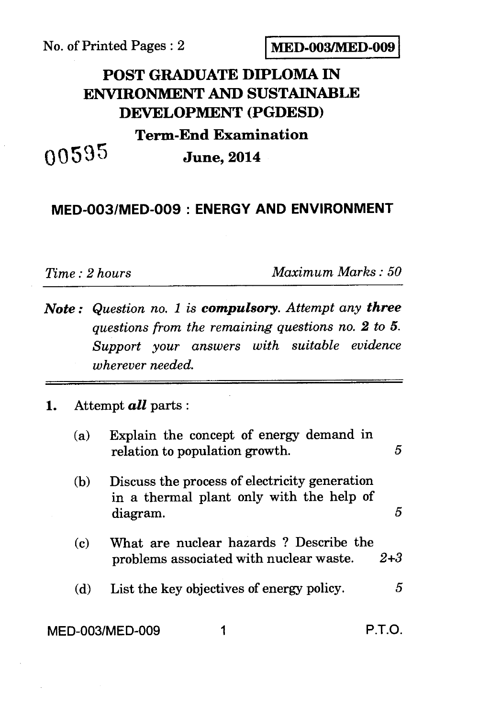No. of Printed Pages : 2 **MED-003/MED-009** 

## **POST GRADUATE DIPLOMA IN ENVIRONMENT AND SUSTAINABLE DEVELOPMENT (PGDESD) Term-End Examination 0595 June, 2014**

## **MED-003/MED-009 : ENERGY AND ENVIRONMENT**

*Time : 2 hours Maximum Marks : 50* 

*Note : Question no. 1 is compulsory. Attempt any three questions from the remaining questions no. 2 to 5. Support your answers with suitable evidence wherever needed.* 

## **1.** Attempt *all* parts :

| (a)             | Explain the concept of energy demand in<br>relation to population growth.                             | 5       |
|-----------------|-------------------------------------------------------------------------------------------------------|---------|
| (b)             | Discuss the process of electricity generation<br>in a thermal plant only with the help of<br>diagram. | 5       |
| (c)             | What are nuclear hazards? Describe the<br>problems associated with nuclear waste.                     | $2 + 3$ |
| (d)             | List the key objectives of energy policy.                                                             | 5       |
| MED-003/MED-009 |                                                                                                       | P.I.O   |